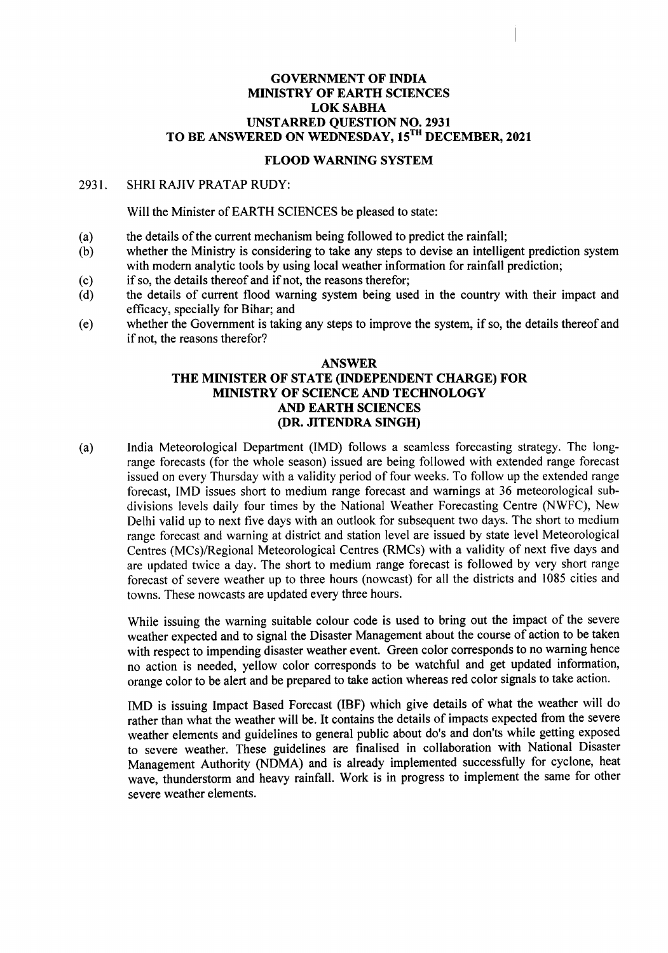## GOVERNMENT OF INDIA MINISTRY OF EARTH SCIENCES LOKSABHA UNSTARRED QUESTION NO. 2931 TO BE ANSWERED ON WEDNESDAY, 15TH DECEMBER, 2021

## FLOOD WARNING SYSTEM

## 2931. SHRI RAJIV PRATAP RUDY:

Will the Minister of EARTH SCIENCES be pleased to state:

- (a) the details of the current mechanism being followed to predict the rainfall;
- (b) whether the Ministry is considering to take any steps to devise an intelligent prediction system with modern analytic tools by using local weather information for rainfall prediction;
- (c) if so, the details thereof and if not, the reasons therefor;
- (d) the details of current flood warning system being used in the country with their impact and efficacy, specially for Bihar; and
- (e) whether the Government is taking any steps to improve the system, if so, the details thereof and if not, the reasons therefor?

## ANSWER THE MINISTER OF STATE (INDEPENDENT CHARGE) FOR MINISTRY OF SCIENCE AND TECHNOLOGY AND EARTH SCIENCES (DR. JITENDRA SINGH)

(a) India Meteorological Department (IMD) follows a seamless forecasting strategy. The longrange forecasts (for the whole season) issued are being followed with extended range forecast issued on every Thursday with a validity period of four weeks. To follow up the extended range forecast, IMD issues short to medium range forecast and warnings at 36 meteorological subdivisions levels daily four times by the National Weather Forecasting Centre (NWFC), New Delhi valid up to next five days with an outlook for subsequent two days. The short to medium range forecast and warning at district and station level are issued by state level Meteorological Centres (MCs)/Regional Meteorological Centres (RMCs) with a validity of next five days and are updated twice a day. The short to medium range forecast is followed by very short range forecast of severe weather up to three hours (nowcast) for all the districts and 1085 cities and towns. These nowcasts are updated every three hours.

While issuing the warning suitable colour code is used to bring out the impact of the severe weather expected and to signal the Disaster Management about the course of action to be taken with respect to impending disaster weather event. Green color corresponds to no warning hence no action is needed, yellow color corresponds to be watchful and get updated information, orange color to be alert and be prepared to take action whereas red color signals to take action.

IMD is issuing Impact Based Forecast (IBF) which give details of what the weather will do rather than what the weather will be. It contains the details of impacts expected from the severe weather elements and guidelines to general public about do's and don'ts while getting exposed to severe weather. These guidelines are finalised in collaboration with National Disaster Management Authority (NDMA) and is already implemented successfully for cyclone, heat wave, thunderstorm and heavy rainfall. Work is in progress to implement the same for other severe weather elements.